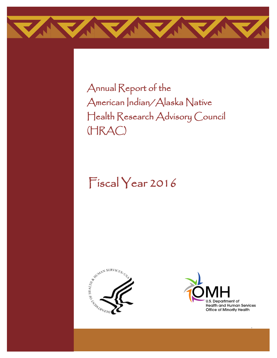

Annual Report of the American Indian/Alaska Native Health Research Advisory Council (HRAC)

# Fiscal Year 2016





i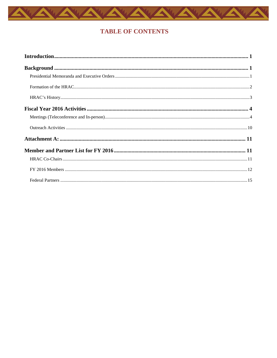

### **TABLE OF CONTENTS**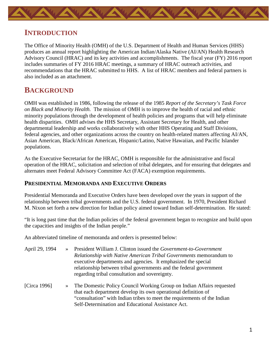<span id="page-2-0"></span>

## **INTRODUCTION**

The Office of Minority Health (OMH) of the U.S. Department of Health and Human Services (HHS) produces an annual report highlighting the American Indian/Alaska Native (AI/AN) Health Research Advisory Council (HRAC) and its key activities and accomplishments. The fiscal year (FY) 2016 report includes summaries of FY 2016 HRAC meetings, a summary of HRAC outreach activities, and recommendations that the HRAC submitted to HHS. A list of HRAC members and federal partners is also included as an attachment.

# <span id="page-2-1"></span>**BACKGROUND**

OMH was established in 1986, following the release of the 1985 *Report of the Secretary's Task Force on Black and Minority Health.* The mission of OMH is to improve the health of racial and ethnic minority populations through the development of health policies and programs that will help eliminate health disparities. OMH advises the HHS Secretary, Assistant Secretary for Health, and other departmental leadership and works collaboratively with other HHS Operating and Staff Divisions, federal agencies, and other organizations across the country on health-related matters affecting AI/AN, Asian American, Black/African American, Hispanic/Latino, Native Hawaiian, and Pacific Islander populations.

As the Executive Secretariat for the HRAC, OMH is responsible for the administrative and fiscal operation of the HRAC, solicitation and selection of tribal delegates, and for ensuring that delegates and alternates meet Federal Advisory Committee Act (FACA) exemption requirements.

#### <span id="page-2-2"></span>**PRESIDENTIAL MEMORANDA AND EXECUTIVE ORDERS**

Presidential Memoranda and Executive Orders have been developed over the years in support of the relationship between tribal governments and the U.S. federal government. In 1970, President Richard M. Nixon set forth a new direction for Indian policy aimed toward Indian self-determination. He stated:

"It is long past time that the Indian policies of the federal government began to recognize and build upon the capacities and insights of the Indian people."

An abbreviated timeline of memoranda and orders is presented below:

| April 29, 1994 | $\rightarrow$ | President William J. Clinton issued the Government-to-Government<br>Relationship with Native American Tribal Governments memorandum to<br>executive departments and agencies. It emphasized the special<br>relationship between tribal governments and the federal government<br>regarding tribal consultation and sovereignty. |
|----------------|---------------|---------------------------------------------------------------------------------------------------------------------------------------------------------------------------------------------------------------------------------------------------------------------------------------------------------------------------------|
| [Circa 1996]   |               | The Domestic Policy Council Working Group on Indian Affairs requested<br>that each department develop its own operational definition of<br>"consultation" with Indian tribes to meet the requirements of the Indian<br>Self-Determination and Educational Assistance Act.                                                       |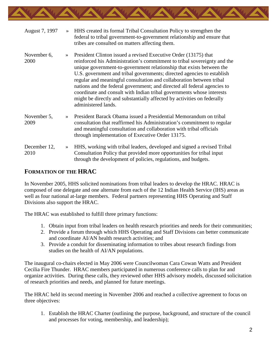

| August 7, 1997       | $\rightarrow$ | HHS created its formal Tribal Consultation Policy to strengthen the<br>federal to tribal government-to-government relationship and ensure that<br>tribes are consulted on matters affecting them.                                                                                                                                                                                                                                                                                                                                                                                                                            |
|----------------------|---------------|------------------------------------------------------------------------------------------------------------------------------------------------------------------------------------------------------------------------------------------------------------------------------------------------------------------------------------------------------------------------------------------------------------------------------------------------------------------------------------------------------------------------------------------------------------------------------------------------------------------------------|
| November 6,<br>2000  | $\gg$         | President Clinton issued a revised Executive Order (13175) that<br>reinforced his Administration's commitment to tribal sovereignty and the<br>unique government-to-government relationship that exists between the<br>U.S. government and tribal governments; directed agencies to establish<br>regular and meaningful consultation and collaboration between tribal<br>nations and the federal government; and directed all federal agencies to<br>coordinate and consult with Indian tribal governments whose interests<br>might be directly and substantially affected by activities on federally<br>administered lands. |
| November 5,<br>2009  | $\rightarrow$ | President Barack Obama issued a Presidential Memorandum on tribal<br>consultation that reaffirmed his Administration's commitment to regular<br>and meaningful consultation and collaboration with tribal officials<br>through implementation of Executive Order 13175.                                                                                                                                                                                                                                                                                                                                                      |
| December 12,<br>2010 | $\rightarrow$ | HHS, working with tribal leaders, developed and signed a revised Tribal<br>Consultation Policy that provided more opportunities for tribal input<br>through the development of policies, regulations, and budgets.                                                                                                                                                                                                                                                                                                                                                                                                           |

#### <span id="page-3-0"></span>**FORMATION OF THE HRAC**

In November 2005, HHS solicited nominations from tribal leaders to develop the HRAC. HRAC is composed of one delegate and one alternate from each of the 12 Indian Health Service (IHS) areas as well as four national at-large members. Federal partners representing HHS Operating and Staff Divisions also support the HRAC.

The HRAC was established to fulfill three primary functions:

- 1. Obtain input from tribal leaders on health research priorities and needs for their communities;
- 2. Provide a forum through which HHS Operating and Staff Divisions can better communicate and coordinate AI/AN health research activities; and
- 3. Provide a conduit for disseminating information to tribes about research findings from studies on the health of AI/AN populations.

The inaugural co-chairs elected in May 2006 were Councilwoman Cara Cowan Watts and President Cecilia Fire Thunder. HRAC members participated in numerous conference calls to plan for and organize activities. During these calls, they reviewed other HHS advisory models, discussed solicitation of research priorities and needs, and planned for future meetings.

The HRAC held its second meeting in November 2006 and reached a collective agreement to focus on three objectives:

1. Establish the HRAC Charter (outlining the purpose, background, and structure of the council and processes for voting, membership, and leadership);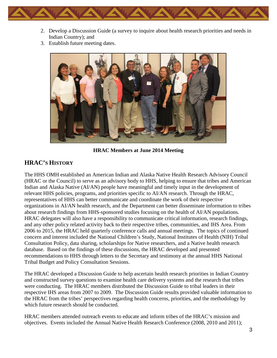

- 2. Develop a Discussion Guide (a survey to inquire about health research priorities and needs in Indian Country); and
- 3. Establish future meeting dates.



**HRAC Members at June 2014 Meeting**

### <span id="page-4-0"></span>**HRAC'S HISTORY**

The HHS OMH established an American Indian and Alaska Native Health Research Advisory Council (HRAC or the Council) to serve as an advisory body to HHS, helping to ensure that tribes and American Indian and Alaska Native (AI/AN) people have meaningful and timely input in the development of relevant HHS policies, programs, and priorities specific to AI/AN research. Through the HRAC, representatives of HHS can better communicate and coordinate the work of their respective organizations in AI/AN health research, and the Department can better disseminate information to tribes about research findings from HHS-sponsored studies focusing on the health of AI/AN populations. HRAC delegates will also have a responsibility to communicate critical information, research findings, and any other policy related activity back to their respective tribes, communities, and IHS Area. From 2006 to 2015, the HRAC held quarterly conference calls and annual meetings. The topics of continued concern and interest included the National Children's Study, National Institutes of Health (NIH) Tribal Consultation Policy, data sharing, scholarships for Native researchers, and a Native health research database. Based on the findings of these discussions, the HRAC developed and presented recommendations to HHS through letters to the Secretary and testimony at the annual HHS National Tribal Budget and Policy Consultation Sessions.

The HRAC developed a Discussion Guide to help ascertain health research priorities in Indian Country and constructed survey questions to examine health care delivery systems and the research that tribes were conducting. The HRAC members distributed the Discussion Guide to tribal leaders in their respective IHS areas from 2007 to 2009. The Discussion Guide results provided valuable information to the HRAC from the tribes' perspectives regarding health concerns, priorities, and the methodology by which future research should be conducted.

HRAC members attended outreach events to educate and inform tribes of the HRAC's mission and objectives. Events included the Annual Native Health Research Conference (2008, 2010 and 2011);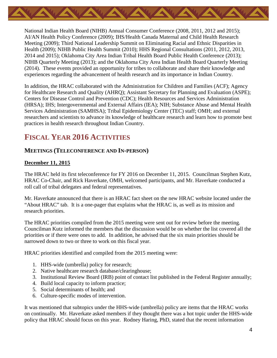

National Indian Health Board (NIHB) Annual Consumer Conference (2008, 2011, 2012 and 2015); AI/AN Health Policy Conference (2009); IHS/Health Canada Maternal and Child Health Research Meeting (2009); Third National Leadership Summit on Eliminating Racial and Ethnic Disparities in Health (2009); NIHB Public Health Summit (2010); HHS Regional Consultations (2011, 2012, 2013, 2014 and 2015); Oklahoma City Area Indian Tribal Health Board Public Health Conference (2013); NIHB Quarterly Meeting (2013); and the Oklahoma City Area Indian Health Board Quarterly Meeting (2014). These events provided an opportunity for tribes to collaborate and share their knowledge and experiences regarding the advancement of health research and its importance in Indian Country.

In addition, the HRAC collaborated with the Administration for Children and Families (ACF); Agency for Healthcare Research and Quality (AHRQ); Assistant Secretary for Planning and Evaluation (ASPE); Centers for Disease Control and Prevention (CDC); Health Resources and Services Administration (HRSA); IHS; Intergovernmental and External Affairs (IEA); NIH; Substance Abuse and Mental Health Services Administration (SAMHSA); Tribal Epidemiology Center (TEC) staff; OMH; and external researchers and scientists to advance its knowledge of healthcare research and learn how to promote best practices in health research throughout Indian Country.

# <span id="page-5-0"></span>**FISCAL YEAR 2016 ACTIVITIES**

#### <span id="page-5-1"></span>**MEETINGS (TELECONFERENCE AND IN-PERSON)**

#### **December 11, 2015**

The HRAC held its first teleconference for FY 2016 on December 11, 2015. Councilman Stephen Kutz, HRAC Co-Chair, and Rick Haverkate, OMH, welcomed participants, and Mr. Haverkate conducted a roll call of tribal delegates and federal representatives.

Mr. Haverkate announced that there is an HRAC fact sheet on the new HRAC website located under the "About HRAC" tab. It is a one-pager that explains what the HRAC is, as well as its mission and research priorities.

The HRAC priorities compiled from the 2015 meeting were sent out for review before the meeting. Councilman Kutz informed the members that the discussion would be on whether the list covered all the priorities or if there were ones to add. In addition, he advised that the six main priorities should be narrowed down to two or three to work on this fiscal year.

HRAC priorities identified and compiled from the 2015 meeting were:

- 1. HHS-wide (umbrella) policy for research;
- 2. Native healthcare research database/clearinghouse;
- 3. Institutional Review Board (IRB) point of contact list published in the Federal Register annually;
- 4. Build local capacity to inform practice;
- 5. Social determinants of health; and
- 6. Culture-specific modes of intervention.

It was mentioned that subtopics under the HHS-wide (umbrella) policy are items that the HRAC works on continually. Mr. Haverkate asked members if they thought there was a hot topic under the HHS-wide policy that HRAC should focus on this year. Rodney Haring, PhD, stated that the recent information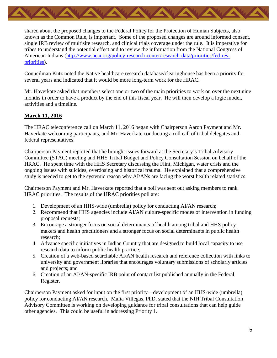

shared about the proposed changes to the Federal Policy for the Protection of Human Subjects, also known as the Common Rule, is important. Some of the proposed changes are around informed consent, single IRB review of multisite research, and clinical trials coverage under the rule. It is imperative for tribes to understand the potential effect and to review the information from the National Congress of [American Indians \(http://www.ncai.org/policy-research-center/research-data/priorities/fed-res](http://www.ncai.org/policy-research-center/research-data/priorities/fed-res-priorities)priorities).

Councilman Kutz noted the Native healthcare research database/clearinghouse has been a priority for several years and indicated that it would be more long-term work for the HRAC.

Mr. Haverkate asked that members select one or two of the main priorities to work on over the next nine months in order to have a product by the end of this fiscal year. He will then develop a logic model, activities and a timeline.

#### **March 11, 2016**

The HRAC teleconference call on March 11, 2016 began with Chairperson Aaron Payment and Mr. Haverkate welcoming participants, and Mr. Haverkate conducting a roll call of tribal delegates and federal representatives.

Chairperson Payment reported that he brought issues forward at the Secretary's Tribal Advisory Committee (STAC) meeting and HHS Tribal Budget and Policy Consultation Session on behalf of the HRAC. He spent time with the HHS Secretary discussing the Flint, Michigan, water crisis and the ongoing issues with suicides, overdosing and historical trauma. He explained that a comprehensive study is needed to get to the systemic reason why AI/ANs are facing the worst health related statistics.

Chairperson Payment and Mr. Haverkate reported that a poll was sent out asking members to rank HRAC priorities. The results of the HRAC priorities poll are:

- 1. Development of an HHS-wide (umbrella) policy for conducting AI/AN research;
- 2. Recommend that HHS agencies include AI/AN culture-specific modes of intervention in funding proposal requests;
- 3. Encourage a stronger focus on social determinants of health among tribal and HHS policy makers and health practitioners and a stronger focus on social determinants in public health research;
- 4. Advance specific initiatives in Indian Country that are designed to build local capacity to use research data to inform public health practice;
- 5. Creation of a web-based searchable AI/AN health research and reference collection with links to university and government libraries that encourages voluntary submissions of scholarly articles and projects; and
- 6. Creation of an AI/AN-specific IRB point of contact list published annually in the Federal Register.

Chairperson Payment asked for input on the first priority—development of an HHS-wide (umbrella) policy for conducting AI/AN research. Malia Villegas, PhD, stated that the NIH Tribal Consultation Advisory Committee is working on developing guidance for tribal consultations that can help guide other agencies. This could be useful in addressing Priority 1.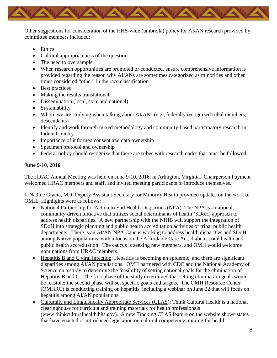

Other suggestions for consideration of the HHS-wide (umbrella) policy for AI/AN research provided by committee members included:

- Ethics
- Cultural appropriateness of the question
- The need to oversample
- When research opportunities are promoted or conducted, ensure comprehensive information is provided regarding the reason why AI/ANs are sometimes categorized as minorities and other times considered "other" in the race classification.
- Best practices
- Making the results translational
- Dissemination (local, state and national)
- Sustainability
- Whom we are studying when talking about AI/ANs (e.g., federally recognized tribal members, descendants)
- Identify and work through mixed methodology and community-based participatory research in Indian Country
- Importance of informed consent and data ownership
- Specimen protocol and ownership
- Federal policy should recognize that there are tribes with research codes that must be followed.

#### **June 9-10, 2016**

The HRAC Annual Meeting was held on June 9-10, 2016, in Arlington, Virginia. Chairperson Payment welcomed HRAC members and staff, and invited meeting participants to introduce themselves.

J. Nadine Gracia, MD, Deputy Assistant Secretary for Minority Health provided updates on the work of OMH. Highlights were as follows:

- National Partnership for Action to End Health Disparities (NPA): The NPA is a national, community-driven initiative that utilizes social determinants of health (SDoH) approach to address health disparities. A new partnership with the NIHB will support the integration of SDoH into strategic planning and public health accreditation activities of tribal public health departments. There is an AI/AN NPA Caucus working to address health disparities and SDoH among Native populations, with a focus on the Affordable Care Act, diabetes, oral health and public health accreditation. The caucus is seeking new members, and OMH would welcome nominations from HRAC members.
- Hepatitis B and C viral infection: Hepatitis is becoming an epidemic, and there are significant disparities among AI/AN populations. OMH partnered with CDC and the National Academy of Science on a study to determine the feasibility of setting national goals for the elimination of Hepatitis B and C. The first phase of the study determined that setting elimination goals would be feasible; the second phase will set specific goals and targets. The OMH Resource Center (OMHRC) is conducting training on hepatitis, including a webinar on June 22 that will focus on hepatitis among AI/AN populations.
- Culturally and Linguistically Appropriate Services (CLAS): Think Cultural Health is a national clearinghouse for curricula and training materials for health professionals (www.thinkculturalhealth.hhs.gov). A new Tracking CLAS feature on the website shows states that have enacted or introduced legislation on cultural competency training for health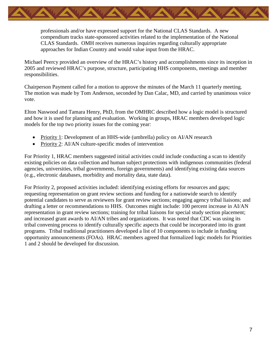

professionals and/or have expressed support for the National CLAS Standards. A new compendium tracks state-sponsored activities related to the implementation of the National CLAS Standards. OMH receives numerous inquiries regarding culturally appropriate approaches for Indian Country and would value input from the HRAC.

Michael Peercy provided an overview of the HRAC's history and accomplishments since its inception in 2005 and reviewed HRAC's purpose, structure, participating HHS components, meetings and member responsibilities.

Chairperson Payment called for a motion to approve the minutes of the March 11 quarterly meeting. The motion was made by Tom Anderson, seconded by Dan Calac, MD, and carried by unanimous voice vote.

Elton Naswood and Tamara Henry, PhD, from the OMHRC described how a logic model is structured and how it is used for planning and evaluation. Working in groups, HRAC members developed logic models for the top two priority issues for the coming year:

- Priority 1: Development of an HHS-wide (umbrella) policy on AI/AN research
- Priority 2: AI/AN culture-specific modes of intervention

For Priority 1, HRAC members suggested initial activities could include conducting a scan to identify existing policies on data collection and human subject protections with indigenous communities (federal agencies, universities, tribal governments, foreign governments) and identifying existing data sources (e.g., electronic databases, morbidity and mortality data, state data).

For Priority 2, proposed activities included: identifying existing efforts for resources and gaps; requesting representation on grant review sections and funding for a nationwide search to identify potential candidates to serve as reviewers for grant review sections; engaging agency tribal liaisons; and drafting a letter or recommendations to HHS. Outcomes might include: 100 percent increase in AI/AN representation in grant review sections; training for tribal liaisons for special study section placement; and increased grant awards to AI/AN tribes and organizations. It was noted that CDC was using its tribal convening process to identify culturally specific aspects that could be incorporated into its grant programs. Tribal traditional practitioners developed a list of 10 components to include in funding opportunity announcements (FOAs). HRAC members agreed that formalized logic models for Priorities 1 and 2 should be developed for discussion.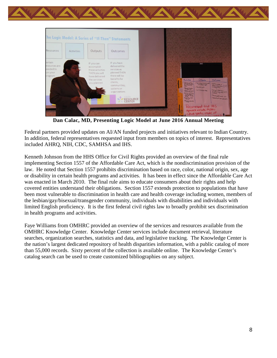

**Dan Calac, MD, Presenting Logic Model at June 2016 Annual Meeting**

Federal partners provided updates on AI/AN funded projects and initiatives relevant to Indian Country. In addition, federal representatives requested input from members on topics of interest. Representatives included AHRQ, NIH, CDC, SAMHSA and IHS.

Kenneth Johnson from the HHS Office for Civil Rights provided an overview of the final rule implementing Section 1557 of the Affordable Care Act, which is the nondiscrimination provision of the law. He noted that Section 1557 prohibits discrimination based on race, color, national origin, sex, age or disability in certain health programs and activities. It has been in effect since the Affordable Care Act was enacted in March 2010. The final rule aims to educate consumers about their rights and help covered entities understand their obligations. Section 1557 extends protection to populations that have been most vulnerable to discrimination in health care and health coverage including women, members of the lesbian/gay/bisexual/transgender community, individuals with disabilities and individuals with limited English proficiency. It is the first federal civil rights law to broadly prohibit sex discrimination in health programs and activities.

Faye Williams from OMHRC provided an overview of the services and resources available from the OMHRC Knowledge Center. Knowledge Center services include document retrieval, literature searches, organization searches, statistics and data, and legislative tracking. The Knowledge Center is the nation's largest dedicated repository of health disparities information, with a public catalog of more than 55,000 records. Sixty percent of the collection is available online. The Knowledge Center's catalog search can be used to create customized bibliographies on any subject.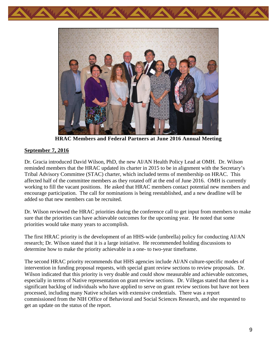



**HRAC Members and Federal Partners at June 2016 Annual Meeting**

#### **September 7, 2016**

Dr. Gracia introduced David Wilson, PhD, the new AI/AN Health Policy Lead at OMH. Dr. Wilson reminded members that the HRAC updated its charter in 2015 to be in alignment with the Secretary's Tribal Advisory Committee (STAC) charter, which included terms of membership on HRAC. This affected half of the committee members as they rotated off at the end of June 2016. OMH is currently working to fill the vacant positions. He asked that HRAC members contact potential new members and encourage participation. The call for nominations is being reestablished, and a new deadline will be added so that new members can be recruited.

Dr. Wilson reviewed the HRAC priorities during the conference call to get input from members to make sure that the priorities can have achievable outcomes for the upcoming year. He noted that some priorities would take many years to accomplish.

The first HRAC priority is the development of an HHS-wide (umbrella) policy for conducting AI/AN research; Dr. Wilson stated that it is a large initiative. He recommended holding discussions to determine how to make the priority achievable in a one- to two-year timeframe.

The second HRAC priority recommends that HHS agencies include AI/AN culture-specific modes of intervention in funding proposal requests, with special grant review sections to review proposals. Dr. Wilson indicated that this priority is very doable and could show measurable and achievable outcomes, especially in terms of Native representation on grant review sections. Dr. Villegas stated that there is a significant backlog of individuals who have applied to serve on grant review sections but have not been processed, including many Native scholars with extensive credentials. There was a report commissioned from the NIH Office of Behavioral and Social Sciences Research, and she requested to get an update on the status of the report.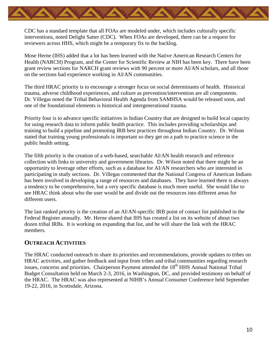

CDC has a standard template that all FOAs are modeled under, which includes culturally specific interventions, noted Delight Satter (CDC). When FOAs are developed, there can be a request for reviewers across HHS, which might be a temporary fix to the backlog.

Mose Herne (IHS) added that a lot has been learned with the Native American Research Centers for Health (NARCH) Program, and the Center for Scientific Review at NIH has been key. There have been grant review sections for NARCH grant reviews with 90 percent or more AI/AN scholars, and all those on the sections had experience working in AI/AN communities.

The third HRAC priority is to encourage a stronger focus on social determinants of health. Historical trauma, adverse childhood experiences, and culture as prevention/intervention are all components. Dr. Villegas noted the Tribal Behavioral Health Agenda from SAMHSA would be released soon, and one of the foundational elements is historical and intergenerational trauma.

Priority four is to advance specific initiatives in Indian Country that are designed to build local capacity for using research data to inform public health practice. This includes providing scholarships and training to build a pipeline and promoting IRB best practices throughout Indian Country. Dr. Wilson stated that training young professionals is important so they get on a path to practice science in the public health setting.

The fifth priority is the creation of a web-based, searchable AI/AN health research and reference collection with links to university and government libraries. Dr. Wilson noted that there might be an opportunity to leverage other efforts, such as a database for AI/AN researchers who are interested in participating in study sections. Dr. Villegas commented that the National Congress of American Indians has been involved in developing a range of resources and databases. They have learned there is always a tendency to be comprehensive, but a very specific database is much more useful. She would like to see HRAC think about who the user would be and divide out the resources into different areas for different users.

The last ranked priority is the creation of an AI/AN-specific IRB point of contact list published in the Federal Register annually. Mr. Herne shared that IHS has created a list on its website of about two dozen tribal IRBs. It is working on expanding that list, and he will share the link with the HRAC members.

#### <span id="page-11-0"></span>**OUTREACH ACTIVITIES**

The HRAC conducted outreach to share its priorities and recommendations, provide updates to tribes on HRAC activities, and gather feedback and input from tribes and tribal communities regarding research issues, concerns and priorities. Chairperson Payment attended the 18<sup>th</sup> HHS Annual National Tribal Budget Consultation held on March 2-3, 2016, in Washington, DC, and provided testimony on behalf of the HRAC. The HRAC was also represented at NIHB's Annual Consumer Conference held September 19-22, 2016, in Scottsdale, Arizona.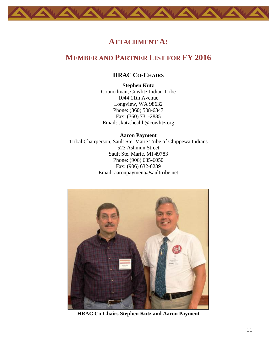<span id="page-12-2"></span><span id="page-12-1"></span><span id="page-12-0"></span>

### **ATTACHMENT A:**

# **MEMBER AND PARTNER LIST FOR FY 2016**

#### **HRAC CO-CHAIRS**

**Stephen Kutz** Councilman, Cowlitz Indian Tribe 1044 11th Avenue Longview, WA 98632 Phone: (360) 508-6347 Fax: (360) 731-2885 Email: [skutz.health@cowlitz.org](mailto:skutz.health@cowlitz.org)

#### **Aaron Payment**

Tribal Chairperson, Sault Ste. Marie Tribe of Chippewa Indians 523 Ashmun Street Sault Ste. Marie, MI 49783 Phone: (906) 635-6050 Fax: (906) 632-6289 Email: [aaronpayment@saulttribe.net](mailto:aaronpayment@saulttribe.net)



**HRAC Co-Chairs Stephen Kutz and Aaron Payment**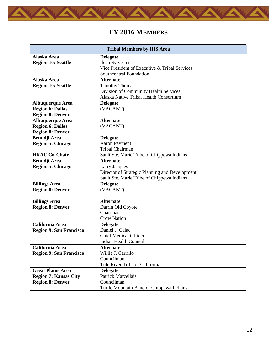<span id="page-13-0"></span>

# **FY 2016 MEMBERS**

| <b>Tribal Members by IHS Area</b> |                                                |
|-----------------------------------|------------------------------------------------|
| Alaska Area                       | <b>Delegate</b>                                |
| <b>Region 10: Seattle</b>         | Ileen Sylvester                                |
|                                   | Vice President of Executive & Tribal Services  |
|                                   | Southcentral Foundation                        |
| Alaska Area                       | <b>Alternate</b>                               |
| <b>Region 10: Seattle</b>         | <b>Timothy Thomas</b>                          |
|                                   | Division of Community Health Services          |
|                                   | Alaska Native Tribal Health Consortium         |
| <b>Albuquerque Area</b>           | <b>Delegate</b>                                |
| <b>Region 6: Dallas</b>           | (VACANT)                                       |
| <b>Region 8: Denver</b>           |                                                |
| <b>Albuquerque Area</b>           | <b>Alternate</b>                               |
| <b>Region 6: Dallas</b>           | (VACANT)                                       |
| <b>Region 8: Denver</b>           |                                                |
| <b>Bemidji</b> Area               | <b>Delegate</b>                                |
| <b>Region 5: Chicago</b>          | <b>Aaron Payment</b>                           |
|                                   | <b>Tribal Chairman</b>                         |
| <b>HRAC Co-Chair</b>              | Sault Ste. Marie Tribe of Chippewa Indians     |
| <b>Bemidji Area</b>               | <b>Alternate</b>                               |
| <b>Region 5: Chicago</b>          | <b>Larry Jacques</b>                           |
|                                   | Director of Strategic Planning and Development |
|                                   | Sault Ste. Marie Tribe of Chippewa Indians     |
| <b>Billings Area</b>              | <b>Delegate</b>                                |
| <b>Region 8: Denver</b>           | (VACANT)                                       |
|                                   |                                                |
| <b>Billings Area</b>              | <b>Alternate</b>                               |
| <b>Region 8: Denver</b>           | Darrin Old Coyote<br>Chairman                  |
|                                   | <b>Crow Nation</b>                             |
| California Area                   | <b>Delegate</b>                                |
| <b>Region 9: San Francisco</b>    | Daniel J. Calac                                |
|                                   | <b>Chief Medical Officer</b>                   |
|                                   | Indian Health Council                          |
| California Area                   | Alternate                                      |
| <b>Region 9: San Francisco</b>    | Willie J. Carrillo                             |
|                                   | Councilman                                     |
|                                   | Tule River Tribe of California                 |
| <b>Great Plains Area</b>          | <b>Delegate</b>                                |
| <b>Region 7: Kansas City</b>      | <b>Patrick Marcellais</b>                      |
| <b>Region 8: Denver</b>           | Councilman                                     |
|                                   | Turtle Mountain Band of Chippewa Indians       |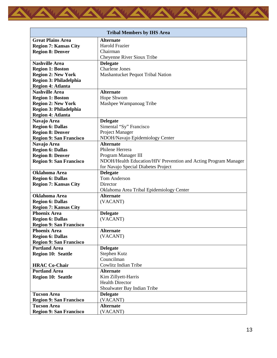

| <b>Tribal Members by IHS Area</b> |                                                                 |
|-----------------------------------|-----------------------------------------------------------------|
| <b>Great Plains Area</b>          | <b>Alternate</b>                                                |
| <b>Region 7: Kansas City</b>      | <b>Harold Frazier</b>                                           |
| <b>Region 8: Denver</b>           | Chairman                                                        |
|                                   | Cheyenne River Sioux Tribe                                      |
| <b>Nashville Area</b>             | <b>Delegate</b>                                                 |
| <b>Region 1: Boston</b>           | <b>Charlene Jones</b>                                           |
| <b>Region 2: New York</b>         | Mashantucket Pequot Tribal Nation                               |
| Region 3: Philadelphia            |                                                                 |
| <b>Region 4: Atlanta</b>          |                                                                 |
| <b>Nashville Area</b>             | <b>Alternate</b>                                                |
| <b>Region 1: Boston</b>           | Hope Shwom                                                      |
| <b>Region 2: New York</b>         | Mashpee Wampanoag Tribe                                         |
| Region 3: Philadelphia            |                                                                 |
| <b>Region 4: Atlanta</b>          |                                                                 |
| Navajo Area                       | <b>Delegate</b>                                                 |
| <b>Region 6: Dallas</b>           | Simental "Sy" Francisco                                         |
| <b>Region 8: Denver</b>           | Project Manager                                                 |
| <b>Region 9: San Francisco</b>    | NDOH/Navajo Epidemiology Center                                 |
| Navajo Area                       | <b>Alternate</b>                                                |
| <b>Region 6: Dallas</b>           | Philene Herrera                                                 |
| <b>Region 8: Denver</b>           | Program Manager III                                             |
| <b>Region 9: San Francisco</b>    | NDOH/Health Education/HIV Prevention and Acting Program Manager |
|                                   | for Navajo Special Diabetes Project                             |
| Oklahoma Area                     | <b>Delegate</b>                                                 |
| <b>Region 6: Dallas</b>           | <b>Tom Anderson</b>                                             |
| <b>Region 7: Kansas City</b>      | Director                                                        |
|                                   | Oklahoma Area Tribal Epidemiology Center                        |
| <b>Oklahoma</b> Area              | <b>Alternate</b>                                                |
| <b>Region 6: Dallas</b>           | (VACANT)                                                        |
| <b>Region 7: Kansas City</b>      |                                                                 |
| <b>Phoenix Area</b>               | <b>Delegate</b>                                                 |
| <b>Region 6: Dallas</b>           | (VACANT)                                                        |
| <b>Region 9: San Francisco</b>    |                                                                 |
| <b>Phoenix Area</b>               | Alternate                                                       |
| <b>Region 6: Dallas</b>           | (VACANT)                                                        |
| <b>Region 9: San Francisco</b>    |                                                                 |
| <b>Portland Area</b>              | <b>Delegate</b>                                                 |
| <b>Region 10: Seattle</b>         | Stephen Kutz                                                    |
|                                   | Councilman                                                      |
| <b>HRAC Co-Chair</b>              | Cowlitz Indian Tribe                                            |
| <b>Portland Area</b>              | <b>Alternate</b>                                                |
| <b>Region 10: Seattle</b>         | Kim Zillyett-Harris                                             |
|                                   | <b>Health Director</b>                                          |
|                                   | Shoalwater Bay Indian Tribe                                     |
| <b>Tucson Area</b>                | <b>Delegate</b>                                                 |
| <b>Region 9: San Francisco</b>    | (VACANT)                                                        |
| <b>Tucson Area</b>                | <b>Alternate</b>                                                |
| <b>Region 9: San Francisco</b>    | (VACANT)                                                        |
|                                   |                                                                 |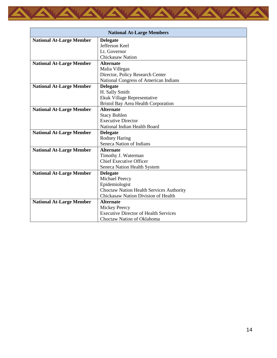

| <b>National At-Large Members</b> |                                                 |
|----------------------------------|-------------------------------------------------|
| <b>National At-Large Member</b>  | <b>Delegate</b>                                 |
|                                  | Jefferson Keel                                  |
|                                  | Lt. Governor                                    |
|                                  | <b>Chickasaw Nation</b>                         |
| <b>National At-Large Member</b>  | <b>Alternate</b>                                |
|                                  | Malia Villegas                                  |
|                                  | Director, Policy Research Center                |
|                                  | National Congress of American Indians           |
| <b>National At-Large Member</b>  | <b>Delegate</b>                                 |
|                                  | H. Sally Smith                                  |
|                                  | Ekuk Village Representative                     |
|                                  | <b>Bristol Bay Area Health Corporation</b>      |
| <b>National At-Large Member</b>  | <b>Alternate</b>                                |
|                                  | <b>Stacy Bohlen</b>                             |
|                                  | <b>Executive Director</b>                       |
|                                  | National Indian Health Board                    |
| <b>National At-Large Member</b>  | <b>Delegate</b>                                 |
|                                  | <b>Rodney Haring</b>                            |
|                                  | Seneca Nation of Indians                        |
| <b>National At-Large Member</b>  | <b>Alternate</b>                                |
|                                  | Timothy J. Waterman                             |
|                                  | <b>Chief Executive Officer</b>                  |
|                                  | Seneca Nation Health System                     |
| <b>National At-Large Member</b>  | <b>Delegate</b>                                 |
|                                  | Michael Peercy                                  |
|                                  | Epidemiologist                                  |
|                                  | <b>Choctaw Nation Health Services Authority</b> |
|                                  | Chickasaw Nation Division of Health             |
| <b>National At-Large Member</b>  | <b>Alternate</b>                                |
|                                  | <b>Mickey Peercy</b>                            |
|                                  | <b>Executive Director of Health Services</b>    |
|                                  | Choctaw Nation of Oklahoma                      |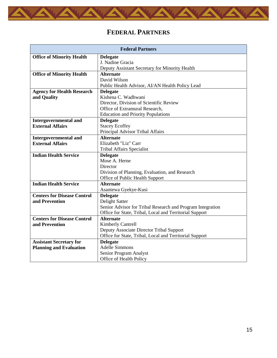<span id="page-16-0"></span>

# **FEDERAL PARTNERS**

| <b>Federal Partners</b>            |                                                            |  |
|------------------------------------|------------------------------------------------------------|--|
| <b>Office of Minority Health</b>   | <b>Delegate</b>                                            |  |
|                                    | J. Nadine Gracia                                           |  |
|                                    | Deputy Assistant Secretary for Minority Health             |  |
| <b>Office of Minority Health</b>   | <b>Alternate</b>                                           |  |
|                                    | David Wilson                                               |  |
|                                    | Public Health Advisor, AI/AN Health Policy Lead            |  |
| <b>Agency for Health Research</b>  | <b>Delegate</b>                                            |  |
| and Quality                        | Kishena C. Wadhwani                                        |  |
|                                    | Director, Division of Scientific Review                    |  |
|                                    | Office of Extramural Research,                             |  |
|                                    | <b>Education and Priority Populations</b>                  |  |
| <b>Intergovernmental and</b>       | <b>Delegate</b>                                            |  |
| <b>External Affairs</b>            | <b>Stacey Ecoffey</b>                                      |  |
|                                    | Principal Advisor Tribal Affairs                           |  |
| <b>Intergovernmental and</b>       | <b>Alternate</b>                                           |  |
| <b>External Affairs</b>            | Elizabeth "Liz" Carr                                       |  |
|                                    | <b>Tribal Affairs Specialist</b>                           |  |
| <b>Indian Health Service</b>       | <b>Delegate</b>                                            |  |
|                                    | Mose A. Herne                                              |  |
|                                    | Director                                                   |  |
|                                    | Division of Planning, Evaluation, and Research             |  |
|                                    | Office of Public Health Support                            |  |
| <b>Indian Health Service</b>       | <b>Alternate</b>                                           |  |
|                                    | Asantewa Gyekye-Kusi                                       |  |
| <b>Centers for Disease Control</b> | <b>Delegate</b>                                            |  |
| and Prevention                     | Delight Satter                                             |  |
|                                    | Senior Advisor for Tribal Research and Program Integration |  |
|                                    | Office for State, Tribal, Local and Territorial Support    |  |
| <b>Centers for Disease Control</b> | <b>Alternate</b>                                           |  |
| and Prevention                     | <b>Kimberly Cantrell</b>                                   |  |
|                                    | Deputy Associate Director Tribal Support                   |  |
|                                    | Office for State, Tribal, Local and Territorial Support    |  |
| <b>Assistant Secretary for</b>     | <b>Delegate</b>                                            |  |
| <b>Planning and Evaluation</b>     | <b>Adelle Simmons</b>                                      |  |
|                                    | Senior Program Analyst                                     |  |
|                                    | Office of Health Policy                                    |  |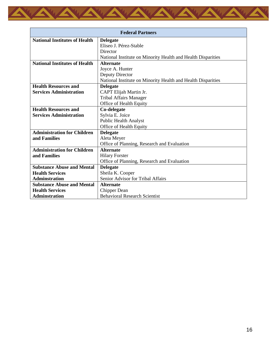

| <b>Federal Partners</b>              |                                                              |  |
|--------------------------------------|--------------------------------------------------------------|--|
| <b>National Institutes of Health</b> | <b>Delegate</b>                                              |  |
|                                      | Eliseo J. Pérez-Stable                                       |  |
|                                      | Director                                                     |  |
|                                      | National Institute on Minority Health and Health Disparities |  |
| <b>National Institutes of Health</b> | <b>Alternate</b>                                             |  |
|                                      | Joyce A. Hunter                                              |  |
|                                      | Deputy Director                                              |  |
|                                      | National Institute on Minority Health and Health Disparities |  |
| <b>Health Resources and</b>          | <b>Delegate</b>                                              |  |
| <b>Services Administration</b>       | CAPT Elijah Martin Jr.                                       |  |
|                                      | <b>Tribal Affairs Manager</b>                                |  |
|                                      | Office of Health Equity                                      |  |
| <b>Health Resources and</b>          | Co-delegate                                                  |  |
| <b>Services Administration</b>       | Sylvia E. Joice                                              |  |
|                                      | <b>Public Health Analyst</b>                                 |  |
|                                      | Office of Health Equity                                      |  |
| <b>Administration for Children</b>   | <b>Delegate</b>                                              |  |
| and Families                         | Aleta Meyer                                                  |  |
|                                      | Office of Planning, Research and Evaluation                  |  |
| <b>Administration for Children</b>   | <b>Alternate</b>                                             |  |
| and Families                         | <b>Hilary Forster</b>                                        |  |
|                                      | Office of Planning, Research and Evaluation                  |  |
| <b>Substance Abuse and Mental</b>    | <b>Delegate</b>                                              |  |
| <b>Health Services</b>               | Sheila K. Cooper                                             |  |
| <b>Adminstration</b>                 | Senior Advisor for Tribal Affairs                            |  |
| <b>Substance Abuse and Mental</b>    | <b>Alternate</b>                                             |  |
| <b>Health Services</b>               | <b>Chipper Dean</b>                                          |  |
| <b>Adminstration</b>                 | <b>Behavioral Research Scientist</b>                         |  |